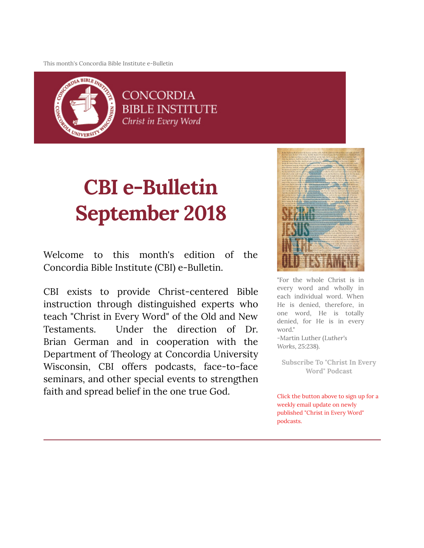This month's Concordia Bible Institute e-Bulletin



**CONCORDIA BIBLE INSTITUTE** Christ in Every Word

# **CBI e-Bulletin September 2018**

Welcome to this month's edition of the Concordia Bible Institute (CBI) e-Bulletin.

CBI exists to provide Christ-centered Bible instruction through distinguished experts who teach "Christ in Every Word" of the Old and New Testaments. Under the direction of Dr. Brian German and in cooperation with the Department of Theology at Concordia University Wisconsin, CBI offers podcasts, face-to-face seminars, and other special events to strengthen faith and spread belief in the one true God.



"For the whole Christ is in every word and wholly in each individual word. When He is denied, therefore, in one word, He is totally denied, for He is in every word." -Martin Luther (*Luther's*

*Works*, 25:238).

**[Subscribe To "Christ In Every](http://subscribebyemail.com/www.concordiabible.org/feed/podcast/) Word" Podcast**

Click the button above to sign up for a weekly email update on newly published "Christ in Every Word" podcasts.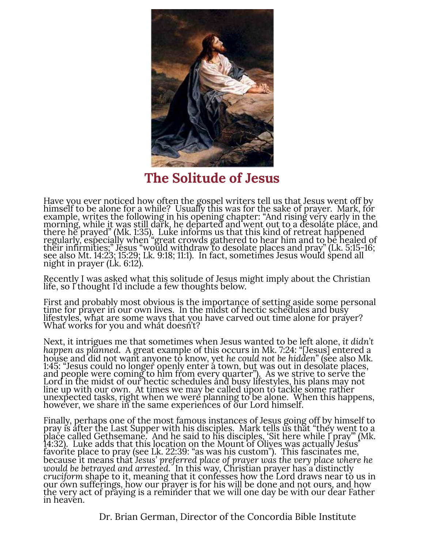

**The Solitude of Jesus**

Have you ever noticed how often the gospel writers tell us that Jesus went off by himself to be alone for a while? Usually this was for the sake of prayer. Mark, for himself to be alone for a while? Usually this was for the sake of prayer. Mark, for example, writes the following in his opening chapter: "And rising very early in the<br>morning, while <u>it was still dark, he departed and went out</u> to a desolate place, and there he prayed" (Mk. 1:35). Luke informs us that this kind of retreat happened regularly, especially when "great crowds gathered to hear him and to be healed of their infirmities;" Jesus "would withdraw to desolate places and pray" (Lk. 5:15-16; see also Mt. 14:23; 15:29; Lk. 9:18; 11:1). In fact, sometimes Jesus would spend all night in prayer (Lk. 6:12).

Recently I was asked what this solitude of Jesus might imply about the Christian life, so I<sup>'</sup>thought I'd include a few thoughts below.

First and probably most obvious is the importance of setting aside some personal time for prayer in our own lives. In the midst of hectic schedules and busy lifestyles, what are some ways that you have carved out time alone for prayer?<br>What works for you and what doesn't?

Next, it intrigues me that sometimes when Jesus wanted to be left alone, *it didn't happen as planned*. A great example of this occurs in Mk. 7:24: "[Jesus] entered a house and did not want anyone to know, yet *he could not be hidden*" (see also Mk. 1:45: "Jesus could no longer openly enter a town, but was out in desolate places, and people were coming to him from every quarter"). As we strive to serve the Lord in the midst of our hectic schedules and busy lifestyles, his plans may not line up with our own. At times we may be called upon to tackle some rather unexpected tasks, right when we were planning to be alone. When this happens, however, we share in the same experiences of our Lord himself.

Finally, perhaps one of the most famous instances of Jesus going off by himself to pray is after the Last Supper with his disciples. Mark tells us that "they went to a place called Gethsemane. And he said to his disciples, 'Sit here while I pray'" (Mk. 14:32). Luke adds that this location on the Mount of Olives was actually Jesus' favorite place to pray (see Lk. 22:39: "as was his custom"). This fascinates me, because it means that *Jesus' preferred place of prayer was the very place where he would be betrayed and arrested*. In this way, Christian prayer has a distinctly *cruciform* shape to it, meaning that it confesses how the Lord draws near to us in our own sufferings, how our prayer is for his will be done and not ours, and how the very act of praying is a reminder that we will one day be with our dear Father in heaven.

Dr. Brian German, Director of the Concordia Bible Institute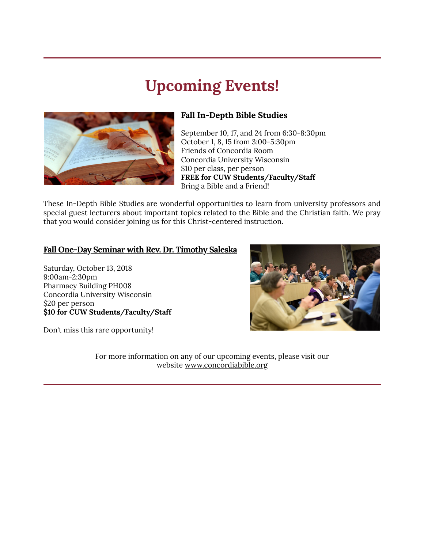# **Upcoming Events!**



#### **Fall In-Depth Bible Studies**

 September 10, 17, and 24 from 6:30-8:30pm October 1, 8, 15 from 3:00-5:30pm Friends of Concordia Room Concordia University Wisconsin \$10 per class, per person  **FREE for CUW Students/Faculty/Staff** Bring a Bible and a Friend!

These In-Depth Bible Studies are wonderful opportunities to learn from university professors and special guest lecturers about important topics related to the Bible and the Christian faith. We pray that you would consider joining us for this Christ-centered instruction.

#### **Fall One-Day Seminar with Rev. Dr. Timothy Saleska**

Saturday, October 13, 2018 9:00am-2:30pm Pharmacy Building PH008 Concordia University Wisconsin \$20 per person **\$10 for CUW Students/Faculty/Staff**

Don't miss this rare opportunity!

For more information on any of our upcoming events, please visit our website [www.concordiabible.org](http://www.concordiabible.org/events/)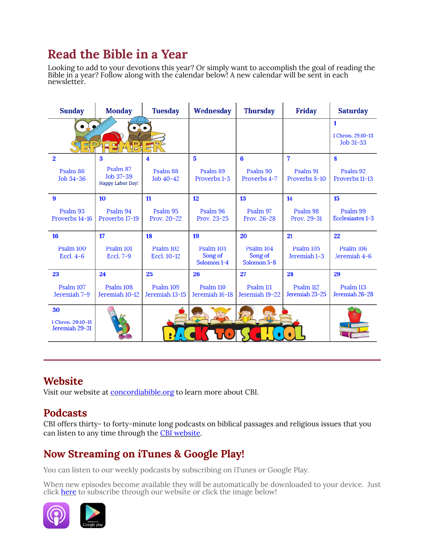# **Read the Bible in a Year**

Looking to add to your devotions this year? Or simply want to accomplish the goal of reading the Bible in a year? Follow along with the calendar below! A new calendar will be sent in each newsletter.

| <b>Sunday</b>                             | <b>Monday</b>                             | <b>Tuesday</b>              | Wednesday                           | <b>Thursday</b>                     | <b>Friday</b>               | <b>Saturday</b>                     |
|-------------------------------------------|-------------------------------------------|-----------------------------|-------------------------------------|-------------------------------------|-----------------------------|-------------------------------------|
| 되어                                        | IJ<br>F<br>$\overline{p}$                 |                             |                                     |                                     |                             | 1<br>1 Chron. 29:10-13<br>Job 31-33 |
| $\mathbf{2}$                              | 3                                         | 4                           | $\overline{\mathbf{5}}$             | 6                                   | 7                           | 8                                   |
| Psalm 86<br>Job 34-36                     | Psalm 87<br>Job 37-39<br>Happy Labor Day! | Psalm 88<br>Job 40-42       | Psalm 89<br>Proverbs 1-3            | Psalm 90<br>Proverbs 4-7            | Psalm 91<br>Proverbs 8-10   | Psalm 92<br>Proverbs 11-13          |
| $\boldsymbol{9}$                          | 10                                        | 11                          | 12                                  | 13                                  | 14                          | 15                                  |
| Psalm 93<br>Proverbs 14-16                | Psalm 94<br>Proverbs 17-19                | Psalm 95<br>Prov. 20-22     | Psalm 96<br>Prov. 23-25             | Psalm 97<br>Prov. 26-28             | Psalm 98<br>Prov. 29-31     | Psalm 99<br>Ecclesiastes 1-3        |
| 16                                        | 17                                        | 18                          | 19                                  | 20                                  | 21                          | 22                                  |
| Psalm 100<br>Eccl. $4-6$                  | Psalm 101<br>Eccl. 7-9                    | Psalm 102<br>Eccl. 10-12    | Psalm 103<br>Song of<br>Solomon 1-4 | Psalm 104<br>Song of<br>Solomon 5-8 | Psalm 105<br>Jeremiah 1-3   | Psalm 106<br>Jeremiah 4-6           |
| 23                                        | 24                                        | 25                          | 26                                  | 27                                  | 28                          | 29                                  |
| Psalm 107<br>Jeremiah 7-9                 | Psalm 108<br>Jeremiah 10-12               | Psalm 109<br>Jeremiah 13-15 | Psalm 110<br>Jeremiah 16-18         | Psalm 111<br>Jeremiah 19-22         | Psalm 112<br>Jeremiah 23-25 | Psalm 113<br>Jeremiah 26-28         |
| 30<br>1 Chron. 29:10-13<br>Jeremiah 29-31 |                                           |                             |                                     |                                     |                             |                                     |

### **Website**

Visit our website at [concordiabible.org](http://www.concordiabible.org/) to learn more about CBI.

### **Podcasts**

CBI offers thirty- to forty-minute long podcasts on biblical passages and religious issues that you can listen to any time through the [CBI website](http://www.concordiabible.org/category/podcasts/).

## **Now Streaming on iTunes & Google Play!**

You can listen to our weekly podcasts by subscribing on iTunes or Google Play.

When new episodes become available they will be automatically be downloaded to your device. Just clic[k here t](http://www.concordiabible.org/category/podcasts/)o subscribe through our website or click the image below!